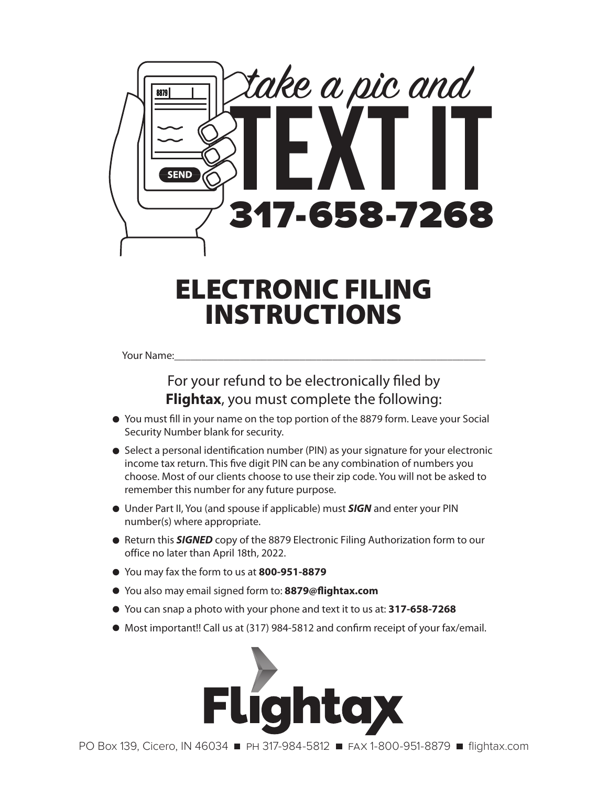

## ELECTRONIC FILING INSTRUCTIONS

Your Name:

## For your refund to be electronically filed by **Flightax**, you must complete the following:

- You must fill in your name on the top portion of the 8879 form. Leave your Social Security Number blank for security.
- Select a personal identification number (PIN) as your signature for your electronic income tax return. This five digit PIN can be any combination of numbers you choose. Most of our clients choose to use their zip code. You will not be asked to remember this number for any future purpose.
- Under Part II, You (and spouse if applicable) must *SIGN* and enter your PIN number(s) where appropriate.
- Return this **SIGNED** copy of the 8879 Electronic Filing Authorization form to our office no later than April 18th, 2022.
- You may fax the form to us at **800-951-8879**
- You also may email signed form to: **8879@flightax.com**
- You can snap a photo with your phone and text it to us at: **317-658-7268**
- Most important!! Call us at (317) 984-5812 and confirm receipt of your fax/email.



PO Box 139, Cicero, IN 46034ph 317-984-5812fax 1-800-951-8879flightax.com